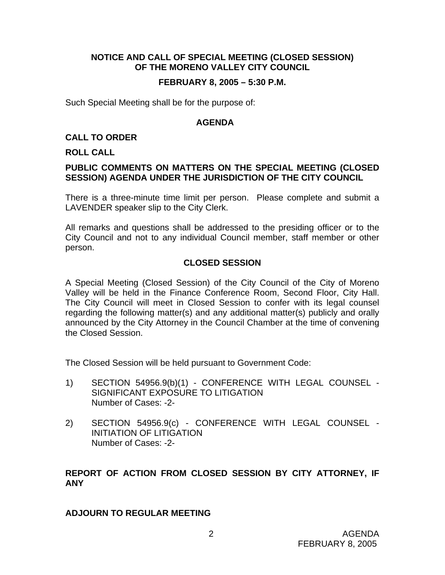### **NOTICE AND CALL OF SPECIAL MEETING (CLOSED SESSION) OF THE MORENO VALLEY CITY COUNCIL**

#### **FEBRUARY 8, 2005 – 5:30 P.M.**

Such Special Meeting shall be for the purpose of:

#### **AGENDA**

#### **CALL TO ORDER**

#### **ROLL CALL**

### **PUBLIC COMMENTS ON MATTERS ON THE SPECIAL MEETING (CLOSED SESSION) AGENDA UNDER THE JURISDICTION OF THE CITY COUNCIL**

There is a three-minute time limit per person. Please complete and submit a LAVENDER speaker slip to the City Clerk.

All remarks and questions shall be addressed to the presiding officer or to the City Council and not to any individual Council member, staff member or other person.

### **CLOSED SESSION**

A Special Meeting (Closed Session) of the City Council of the City of Moreno Valley will be held in the Finance Conference Room, Second Floor, City Hall. The City Council will meet in Closed Session to confer with its legal counsel regarding the following matter(s) and any additional matter(s) publicly and orally announced by the City Attorney in the Council Chamber at the time of convening the Closed Session.

The Closed Session will be held pursuant to Government Code:

- 1) SECTION 54956.9(b)(1) CONFERENCE WITH LEGAL COUNSEL SIGNIFICANT EXPOSURE TO LITIGATION Number of Cases: -2-
- 2) SECTION 54956.9(c) CONFERENCE WITH LEGAL COUNSEL INITIATION OF LITIGATION Number of Cases: -2-

## **REPORT OF ACTION FROM CLOSED SESSION BY CITY ATTORNEY, IF ANY**

#### **ADJOURN TO REGULAR MEETING**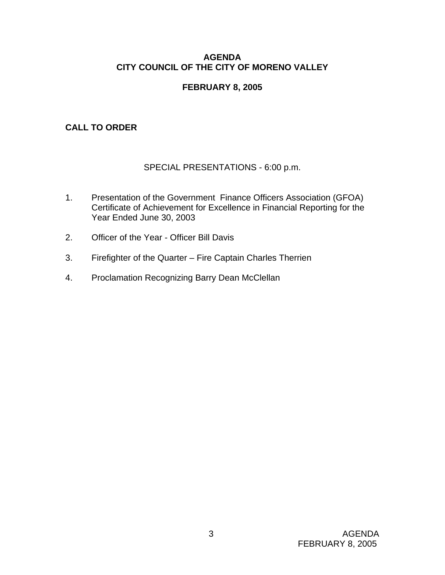### **AGENDA CITY COUNCIL OF THE CITY OF MORENO VALLEY**

## **FEBRUARY 8, 2005**

## **CALL TO ORDER**

# SPECIAL PRESENTATIONS - 6:00 p.m.

- 1. Presentation of the Government Finance Officers Association (GFOA) Certificate of Achievement for Excellence in Financial Reporting for the Year Ended June 30, 2003
- 2. Officer of the Year Officer Bill Davis
- 3. Firefighter of the Quarter Fire Captain Charles Therrien
- 4. Proclamation Recognizing Barry Dean McClellan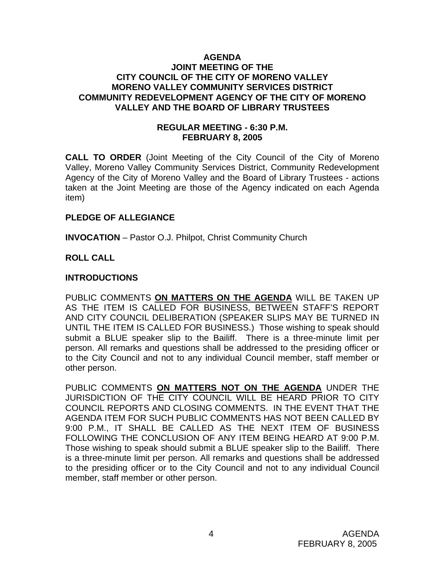#### **AGENDA JOINT MEETING OF THE CITY COUNCIL OF THE CITY OF MORENO VALLEY MORENO VALLEY COMMUNITY SERVICES DISTRICT COMMUNITY REDEVELOPMENT AGENCY OF THE CITY OF MORENO VALLEY AND THE BOARD OF LIBRARY TRUSTEES**

### **REGULAR MEETING - 6:30 P.M. FEBRUARY 8, 2005**

**CALL TO ORDER** (Joint Meeting of the City Council of the City of Moreno Valley, Moreno Valley Community Services District, Community Redevelopment Agency of the City of Moreno Valley and the Board of Library Trustees - actions taken at the Joint Meeting are those of the Agency indicated on each Agenda item)

### **PLEDGE OF ALLEGIANCE**

**INVOCATION** – Pastor O.J. Philpot, Christ Community Church

## **ROLL CALL**

### **INTRODUCTIONS**

PUBLIC COMMENTS **ON MATTERS ON THE AGENDA** WILL BE TAKEN UP AS THE ITEM IS CALLED FOR BUSINESS, BETWEEN STAFF'S REPORT AND CITY COUNCIL DELIBERATION (SPEAKER SLIPS MAY BE TURNED IN UNTIL THE ITEM IS CALLED FOR BUSINESS.) Those wishing to speak should submit a BLUE speaker slip to the Bailiff. There is a three-minute limit per person. All remarks and questions shall be addressed to the presiding officer or to the City Council and not to any individual Council member, staff member or other person.

PUBLIC COMMENTS **ON MATTERS NOT ON THE AGENDA** UNDER THE JURISDICTION OF THE CITY COUNCIL WILL BE HEARD PRIOR TO CITY COUNCIL REPORTS AND CLOSING COMMENTS. IN THE EVENT THAT THE AGENDA ITEM FOR SUCH PUBLIC COMMENTS HAS NOT BEEN CALLED BY 9:00 P.M., IT SHALL BE CALLED AS THE NEXT ITEM OF BUSINESS FOLLOWING THE CONCLUSION OF ANY ITEM BEING HEARD AT 9:00 P.M. Those wishing to speak should submit a BLUE speaker slip to the Bailiff. There is a three-minute limit per person. All remarks and questions shall be addressed to the presiding officer or to the City Council and not to any individual Council member, staff member or other person.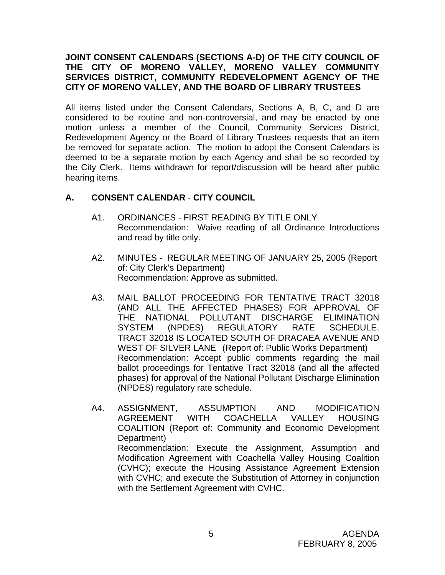### **JOINT CONSENT CALENDARS (SECTIONS A-D) OF THE CITY COUNCIL OF THE CITY OF MORENO VALLEY, MORENO VALLEY COMMUNITY SERVICES DISTRICT, COMMUNITY REDEVELOPMENT AGENCY OF THE CITY OF MORENO VALLEY, AND THE BOARD OF LIBRARY TRUSTEES**

All items listed under the Consent Calendars, Sections A, B, C, and D are considered to be routine and non-controversial, and may be enacted by one motion unless a member of the Council, Community Services District, Redevelopment Agency or the Board of Library Trustees requests that an item be removed for separate action. The motion to adopt the Consent Calendars is deemed to be a separate motion by each Agency and shall be so recorded by the City Clerk. Items withdrawn for report/discussion will be heard after public hearing items.

## **A. CONSENT CALENDAR** - **CITY COUNCIL**

- A1. ORDINANCES FIRST READING BY TITLE ONLY Recommendation: Waive reading of all Ordinance Introductions and read by title only.
- A2. MINUTES REGULAR MEETING OF JANUARY 25, 2005 (Report of: City Clerk's Department) Recommendation: Approve as submitted.
- A3. MAIL BALLOT PROCEEDING FOR TENTATIVE TRACT 32018 (AND ALL THE AFFECTED PHASES) FOR APPROVAL OF THE NATIONAL POLLUTANT DISCHARGE ELIMINATION SYSTEM (NPDES) REGULATORY RATE SCHEDULE. TRACT 32018 IS LOCATED SOUTH OF DRACAEA AVENUE AND WEST OF SILVER LANE (Report of: Public Works Department) Recommendation: Accept public comments regarding the mail ballot proceedings for Tentative Tract 32018 (and all the affected phases) for approval of the National Pollutant Discharge Elimination (NPDES) regulatory rate schedule.
- A4. ASSIGNMENT, ASSUMPTION AND MODIFICATION AGREEMENT WITH COACHELLA VALLEY HOUSING COALITION (Report of: Community and Economic Development Department) Recommendation: Execute the Assignment, Assumption and Modification Agreement with Coachella Valley Housing Coalition (CVHC); execute the Housing Assistance Agreement Extension with CVHC; and execute the Substitution of Attorney in conjunction with the Settlement Agreement with CVHC.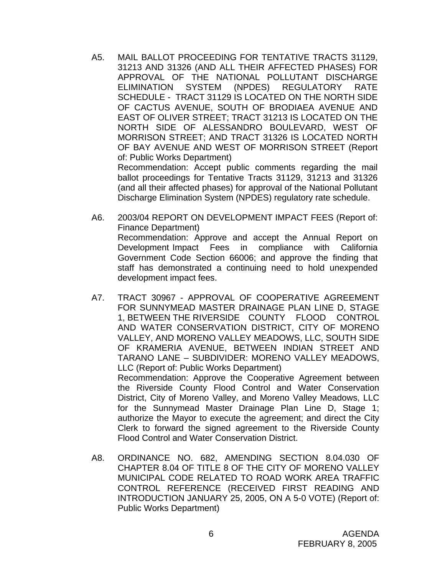A5. MAIL BALLOT PROCEEDING FOR TENTATIVE TRACTS 31129, 31213 AND 31326 (AND ALL THEIR AFFECTED PHASES) FOR APPROVAL OF THE NATIONAL POLLUTANT DISCHARGE ELIMINATION SYSTEM (NPDES) REGULATORY RATE SCHEDULE - TRACT 31129 IS LOCATED ON THE NORTH SIDE OF CACTUS AVENUE, SOUTH OF BRODIAEA AVENUE AND EAST OF OLIVER STREET; TRACT 31213 IS LOCATED ON THE NORTH SIDE OF ALESSANDRO BOULEVARD, WEST OF MORRISON STREET; AND TRACT 31326 IS LOCATED NORTH OF BAY AVENUE AND WEST OF MORRISON STREET (Report of: Public Works Department) Recommendation: Accept public comments regarding the mail

ballot proceedings for Tentative Tracts 31129, 31213 and 31326 (and all their affected phases) for approval of the National Pollutant Discharge Elimination System (NPDES) regulatory rate schedule.

- A6. 2003/04 REPORT ON DEVELOPMENT IMPACT FEES (Report of: Finance Department) Recommendation: Approve and accept the Annual Report on Development Impact Fees in compliance with California Government Code Section 66006; and approve the finding that staff has demonstrated a continuing need to hold unexpended development impact fees.
- A7. TRACT 30967 APPROVAL OF COOPERATIVE AGREEMENT FOR SUNNYMEAD MASTER DRAINAGE PLAN LINE D, STAGE 1, BETWEEN THE RIVERSIDE COUNTY FLOOD CONTROL AND WATER CONSERVATION DISTRICT, CITY OF MORENO VALLEY, AND MORENO VALLEY MEADOWS, LLC, SOUTH SIDE OF KRAMERIA AVENUE, BETWEEN INDIAN STREET AND TARANO LANE – SUBDIVIDER: MORENO VALLEY MEADOWS, LLC (Report of: Public Works Department) Recommendation: Approve the Cooperative Agreement between the Riverside County Flood Control and Water Conservation District, City of Moreno Valley, and Moreno Valley Meadows, LLC for the Sunnymead Master Drainage Plan Line D, Stage 1; authorize the Mayor to execute the agreement; and direct the City Clerk to forward the signed agreement to the Riverside County Flood Control and Water Conservation District.
- A8. ORDINANCE NO. 682, AMENDING SECTION 8.04.030 OF CHAPTER 8.04 OF TITLE 8 OF THE CITY OF MORENO VALLEY MUNICIPAL CODE RELATED TO ROAD WORK AREA TRAFFIC CONTROL REFERENCE (RECEIVED FIRST READING AND INTRODUCTION JANUARY 25, 2005, ON A 5-0 VOTE) (Report of: Public Works Department)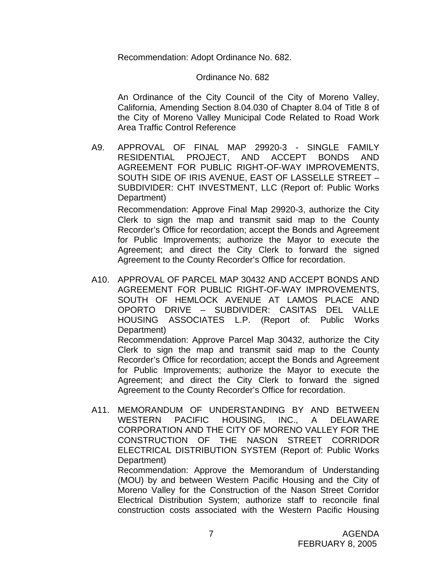Recommendation: Adopt Ordinance No. 682.

#### Ordinance No. 682

 An Ordinance of the City Council of the City of Moreno Valley, California, Amending Section 8.04.030 of Chapter 8.04 of Title 8 of the City of Moreno Valley Municipal Code Related to Road Work Area Traffic Control Reference

 A9. APPROVAL OF FINAL MAP 29920-3 - SINGLE FAMILY RESIDENTIAL PROJECT, AND ACCEPT BONDS AND AGREEMENT FOR PUBLIC RIGHT-OF-WAY IMPROVEMENTS, SOUTH SIDE OF IRIS AVENUE, EAST OF LASSELLE STREET – SUBDIVIDER: CHT INVESTMENT, LLC (Report of: Public Works Department)

 Recommendation: Approve Final Map 29920-3, authorize the City Clerk to sign the map and transmit said map to the County Recorder's Office for recordation; accept the Bonds and Agreement for Public Improvements; authorize the Mayor to execute the Agreement; and direct the City Clerk to forward the signed Agreement to the County Recorder's Office for recordation.

 A10. APPROVAL OF PARCEL MAP 30432 AND ACCEPT BONDS AND AGREEMENT FOR PUBLIC RIGHT-OF-WAY IMPROVEMENTS, SOUTH OF HEMLOCK AVENUE AT LAMOS PLACE AND OPORTO DRIVE – SUBDIVIDER: CASITAS DEL VALLE HOUSING ASSOCIATES L.P. (Report of: Public Works Department) Recommendation: Approve Parcel Map 30432, authorize the City Clerk to sign the map and transmit said map to the County Recorder's Office for recordation; accept the Bonds and Agreement for Public Improvements; authorize the Mayor to execute the

 Agreement; and direct the City Clerk to forward the signed Agreement to the County Recorder's Office for recordation.

A11. MEMORANDUM OF UNDERSTANDING BY AND BETWEEN WESTERN PACIFIC HOUSING, INC., A DELAWARE CORPORATION AND THE CITY OF MORENO VALLEY FOR THE CONSTRUCTION OF THE NASON STREET CORRIDOR ELECTRICAL DISTRIBUTION SYSTEM (Report of: Public Works Department)

 Recommendation: Approve the Memorandum of Understanding (MOU) by and between Western Pacific Housing and the City of Moreno Valley for the Construction of the Nason Street Corridor Electrical Distribution System; authorize staff to reconcile final construction costs associated with the Western Pacific Housing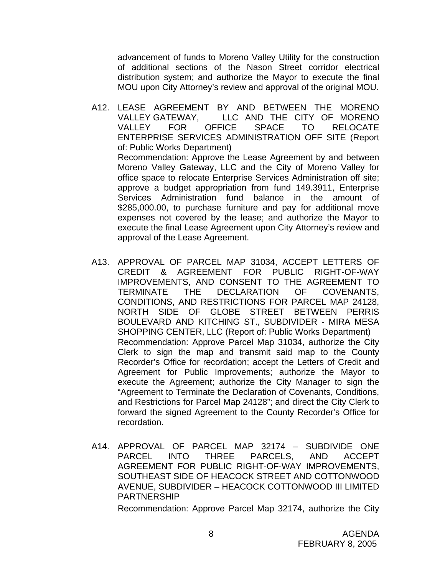advancement of funds to Moreno Valley Utility for the construction of additional sections of the Nason Street corridor electrical distribution system; and authorize the Mayor to execute the final MOU upon City Attorney's review and approval of the original MOU.

- A12. LEASE AGREEMENT BY AND BETWEEN THE MORENO VALLEY GATEWAY, LLC AND THE CITY OF MORENO VALLEY FOR OFFICE SPACE TO RELOCATE ENTERPRISE SERVICES ADMINISTRATION OFF SITE (Report of: Public Works Department) Recommendation: Approve the Lease Agreement by and between Moreno Valley Gateway, LLC and the City of Moreno Valley for office space to relocate Enterprise Services Administration off site; approve a budget appropriation from fund 149.3911, Enterprise Services Administration fund balance in the amount of \$285,000.00, to purchase furniture and pay for additional move expenses not covered by the lease; and authorize the Mayor to execute the final Lease Agreement upon City Attorney's review and approval of the Lease Agreement.
- A13. APPROVAL OF PARCEL MAP 31034, ACCEPT LETTERS OF CREDIT & AGREEMENT FOR PUBLIC RIGHT-OF-WAY IMPROVEMENTS, AND CONSENT TO THE AGREEMENT TO TERMINATE THE DECLARATION OF COVENANTS, CONDITIONS, AND RESTRICTIONS FOR PARCEL MAP 24128, NORTH SIDE OF GLOBE STREET BETWEEN PERRIS BOULEVARD AND KITCHING ST., SUBDIVIDER - MIRA MESA SHOPPING CENTER, LLC (Report of: Public Works Department) Recommendation: Approve Parcel Map 31034, authorize the City Clerk to sign the map and transmit said map to the County Recorder's Office for recordation; accept the Letters of Credit and Agreement for Public Improvements; authorize the Mayor to execute the Agreement; authorize the City Manager to sign the "Agreement to Terminate the Declaration of Covenants, Conditions, and Restrictions for Parcel Map 24128"; and direct the City Clerk to forward the signed Agreement to the County Recorder's Office for recordation.
- A14. APPROVAL OF PARCEL MAP 32174 SUBDIVIDE ONE PARCEL INTO THREE PARCELS, AND ACCEPT AGREEMENT FOR PUBLIC RIGHT-OF-WAY IMPROVEMENTS, SOUTHEAST SIDE OF HEACOCK STREET AND COTTONWOOD AVENUE, SUBDIVIDER – HEACOCK COTTONWOOD III LIMITED PARTNERSHIP

Recommendation: Approve Parcel Map 32174, authorize the City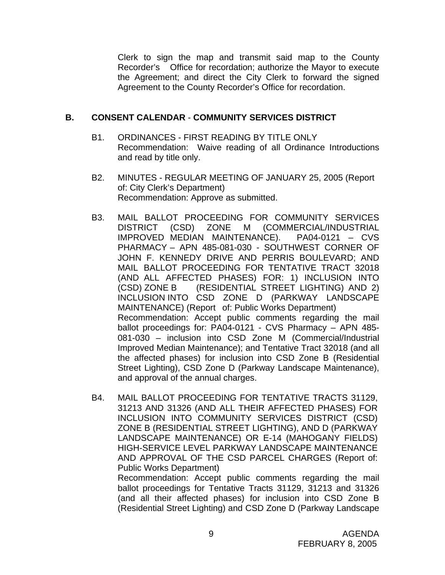Clerk to sign the map and transmit said map to the County Recorder's Office for recordation; authorize the Mayor to execute the Agreement; and direct the City Clerk to forward the signed Agreement to the County Recorder's Office for recordation.

### **B. CONSENT CALENDAR** - **COMMUNITY SERVICES DISTRICT**

- B1. ORDINANCES FIRST READING BY TITLE ONLY Recommendation: Waive reading of all Ordinance Introductions and read by title only.
- B2. MINUTES REGULAR MEETING OF JANUARY 25, 2005 (Report of: City Clerk's Department) Recommendation: Approve as submitted.
- B3. MAIL BALLOT PROCEEDING FOR COMMUNITY SERVICES DISTRICT (CSD) ZONE M (COMMERCIAL/INDUSTRIAL IMPROVED MEDIAN MAINTENANCE). PA04-0121 – CVS PHARMACY – APN 485-081-030 - SOUTHWEST CORNER OF JOHN F. KENNEDY DRIVE AND PERRIS BOULEVARD; AND MAIL BALLOT PROCEEDING FOR TENTATIVE TRACT 32018 (AND ALL AFFECTED PHASES) FOR: 1) INCLUSION INTO (CSD) ZONE B (RESIDENTIAL STREET LIGHTING) AND 2) INCLUSION INTO CSD ZONE D (PARKWAY LANDSCAPE MAINTENANCE) (Report of: Public Works Department) Recommendation: Accept public comments regarding the mail ballot proceedings for: PA04-0121 - CVS Pharmacy – APN 485- 081-030 – inclusion into CSD Zone M (Commercial/Industrial Improved Median Maintenance); and Tentative Tract 32018 (and all the affected phases) for inclusion into CSD Zone B (Residential Street Lighting), CSD Zone D (Parkway Landscape Maintenance), and approval of the annual charges.
- B4. MAIL BALLOT PROCEEDING FOR TENTATIVE TRACTS 31129, 31213 AND 31326 (AND ALL THEIR AFFECTED PHASES) FOR INCLUSION INTO COMMUNITY SERVICES DISTRICT (CSD) ZONE B (RESIDENTIAL STREET LIGHTING), AND D (PARKWAY LANDSCAPE MAINTENANCE) OR E-14 (MAHOGANY FIELDS) HIGH-SERVICE LEVEL PARKWAY LANDSCAPE MAINTENANCE AND APPROVAL OF THE CSD PARCEL CHARGES (Report of: Public Works Department)

Recommendation: Accept public comments regarding the mail ballot proceedings for Tentative Tracts 31129, 31213 and 31326 (and all their affected phases) for inclusion into CSD Zone B (Residential Street Lighting) and CSD Zone D (Parkway Landscape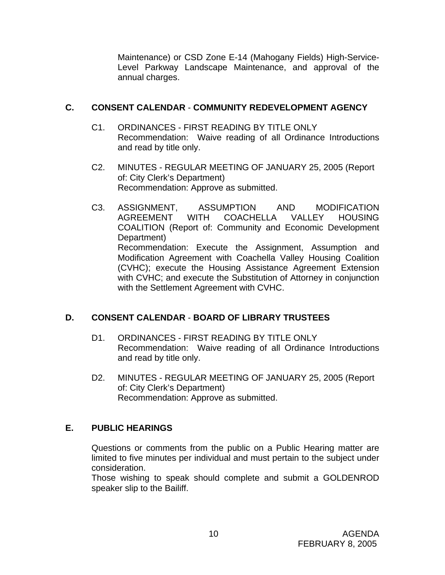Maintenance) or CSD Zone E-14 (Mahogany Fields) High-Service-Level Parkway Landscape Maintenance, and approval of the annual charges.

## **C. CONSENT CALENDAR** - **COMMUNITY REDEVELOPMENT AGENCY**

- C1. ORDINANCES FIRST READING BY TITLE ONLY Recommendation: Waive reading of all Ordinance Introductions and read by title only.
- C2. MINUTES REGULAR MEETING OF JANUARY 25, 2005 (Report of: City Clerk's Department) Recommendation: Approve as submitted.
- C3. ASSIGNMENT, ASSUMPTION AND MODIFICATION AGREEMENT WITH COACHELLA VALLEY HOUSING COALITION (Report of: Community and Economic Development Department) Recommendation: Execute the Assignment, Assumption and Modification Agreement with Coachella Valley Housing Coalition (CVHC); execute the Housing Assistance Agreement Extension with CVHC; and execute the Substitution of Attorney in conjunction with the Settlement Agreement with CVHC.

# **D. CONSENT CALENDAR** - **BOARD OF LIBRARY TRUSTEES**

- D1. ORDINANCES FIRST READING BY TITLE ONLY Recommendation: Waive reading of all Ordinance Introductions and read by title only.
- D2. MINUTES REGULAR MEETING OF JANUARY 25, 2005 (Report of: City Clerk's Department) Recommendation: Approve as submitted.

# **E. PUBLIC HEARINGS**

Questions or comments from the public on a Public Hearing matter are limited to five minutes per individual and must pertain to the subject under consideration.

 Those wishing to speak should complete and submit a GOLDENROD speaker slip to the Bailiff.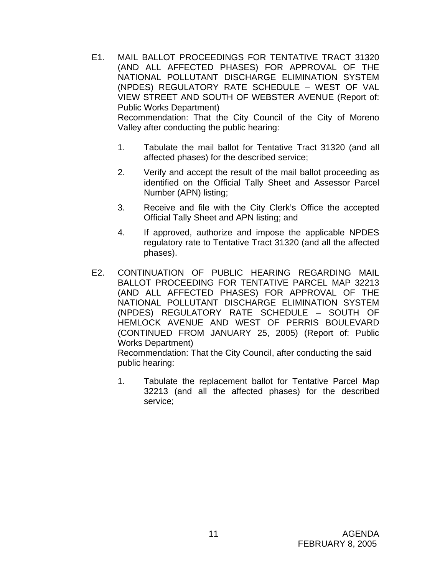- E1. MAIL BALLOT PROCEEDINGS FOR TENTATIVE TRACT 31320 (AND ALL AFFECTED PHASES) FOR APPROVAL OF THE NATIONAL POLLUTANT DISCHARGE ELIMINATION SYSTEM (NPDES) REGULATORY RATE SCHEDULE – WEST OF VAL VIEW STREET AND SOUTH OF WEBSTER AVENUE (Report of: Public Works Department) Recommendation: That the City Council of the City of Moreno Valley after conducting the public hearing:
	- 1. Tabulate the mail ballot for Tentative Tract 31320 (and all affected phases) for the described service;
	- 2. Verify and accept the result of the mail ballot proceeding as identified on the Official Tally Sheet and Assessor Parcel Number (APN) listing;
	- 3. Receive and file with the City Clerk's Office the accepted Official Tally Sheet and APN listing; and
	- 4. If approved, authorize and impose the applicable NPDES regulatory rate to Tentative Tract 31320 (and all the affected phases).
- E2. CONTINUATION OF PUBLIC HEARING REGARDING MAIL BALLOT PROCEEDING FOR TENTATIVE PARCEL MAP 32213 (AND ALL AFFECTED PHASES) FOR APPROVAL OF THE NATIONAL POLLUTANT DISCHARGE ELIMINATION SYSTEM (NPDES) REGULATORY RATE SCHEDULE – SOUTH OF HEMLOCK AVENUE AND WEST OF PERRIS BOULEVARD (CONTINUED FROM JANUARY 25, 2005) (Report of: Public Works Department)

Recommendation: That the City Council, after conducting the said public hearing:

1. Tabulate the replacement ballot for Tentative Parcel Map 32213 (and all the affected phases) for the described service;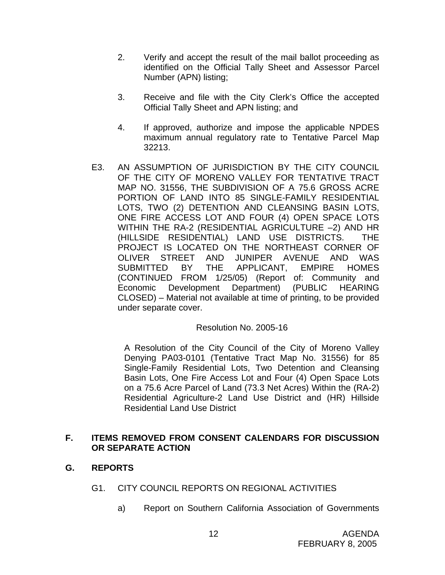- 2. Verify and accept the result of the mail ballot proceeding as identified on the Official Tally Sheet and Assessor Parcel Number (APN) listing;
- 3. Receive and file with the City Clerk's Office the accepted Official Tally Sheet and APN listing; and
- 4. If approved, authorize and impose the applicable NPDES maximum annual regulatory rate to Tentative Parcel Map 32213.
- E3. AN ASSUMPTION OF JURISDICTION BY THE CITY COUNCIL OF THE CITY OF MORENO VALLEY FOR TENTATIVE TRACT MAP NO. 31556, THE SUBDIVISION OF A 75.6 GROSS ACRE PORTION OF LAND INTO 85 SINGLE-FAMILY RESIDENTIAL LOTS, TWO (2) DETENTION AND CLEANSING BASIN LOTS, ONE FIRE ACCESS LOT AND FOUR (4) OPEN SPACE LOTS WITHIN THE RA-2 (RESIDENTIAL AGRICULTURE –2) AND HR (HILLSIDE RESIDENTIAL) LAND USE DISTRICTS. THE PROJECT IS LOCATED ON THE NORTHEAST CORNER OF OLIVER STREET AND JUNIPER AVENUE AND WAS SUBMITTED BY THE APPLICANT, EMPIRE HOMES (CONTINUED FROM 1/25/05) (Report of: Community and Economic Development Department) (PUBLIC HEARING CLOSED) – Material not available at time of printing, to be provided under separate cover.

### Resolution No. 2005-16

 A Resolution of the City Council of the City of Moreno Valley Denying PA03-0101 (Tentative Tract Map No. 31556) for 85 Single-Family Residential Lots, Two Detention and Cleansing Basin Lots, One Fire Access Lot and Four (4) Open Space Lots on a 75.6 Acre Parcel of Land (73.3 Net Acres) Within the (RA-2) Residential Agriculture-2 Land Use District and (HR) Hillside Residential Land Use District

## **F. ITEMS REMOVED FROM CONSENT CALENDARS FOR DISCUSSION OR SEPARATE ACTION**

# **G. REPORTS**

- G1. CITY COUNCIL REPORTS ON REGIONAL ACTIVITIES
	- a) Report on Southern California Association of Governments